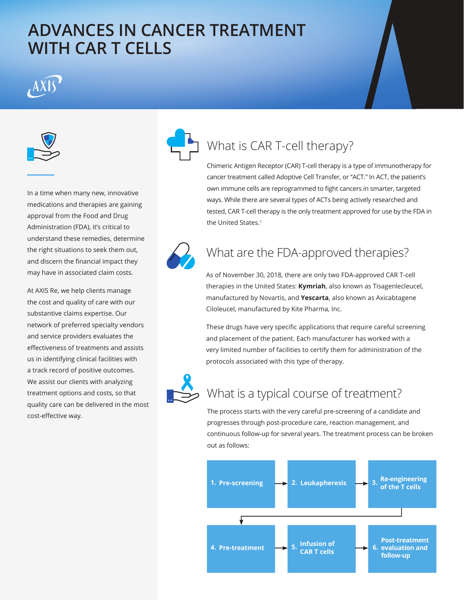# **ADVANCES IN CANCER TREATMENT WITH CAR T CELLS**



In a time when many new, innovative medications and therapies are gaining approval from the Food and Drug Administration (FDA), it's critical to understand these remedies, determine the right situations to seek them out, and discern the financial impact they may have in associated claim costs.

At AXIS Re, we help clients manage the cost and quality of care with our substantive claims expertise. Our network of preferred specialty vendors and service providers evaluates the effectiveness of treatments and assists us in identifying clinical facilities with a track record of positive outcomes. We assist our clients with analyzing treatment options and costs, so that quality care can be delivered in the most cost-effective way.



# What is CAR T-cell therapy?

Chimeric Antigen Receptor (CAR) T-cell therapy is a type of immunotherapy for cancer treatment called Adoptive Cell Transfer, or "ACT." In ACT, the patient's own immune cells are reprogrammed to fight cancers in smarter, targeted ways. While there are several types of ACTs being actively researched and tested, CAR T-cell therapy is the only treatment approved for use by the FDA in the United States.<sup>1</sup>



## What are the FDA-approved therapies?

As of November 30, 2018, there are only two FDA-approved CAR T-cell therapies in the United States: **Kymriah**, also known as Tisagenlecleucel, manufactured by Novartis, and **Yescarta**, also known as Axicabtagene Ciloleucel, manufactured by Kite Pharma, Inc.

These drugs have very specific applications that require careful screening and placement of the patient. Each manufacturer has worked with a very limited number of facilities to certify them for administration of the protocols associated with this type of therapy.



#### What is a typical course of treatment?

The process starts with the very careful pre-screening of a candidate and progresses through post-procedure care, reaction management, and continuous follow-up for several years. The treatment process can be broken out as follows: